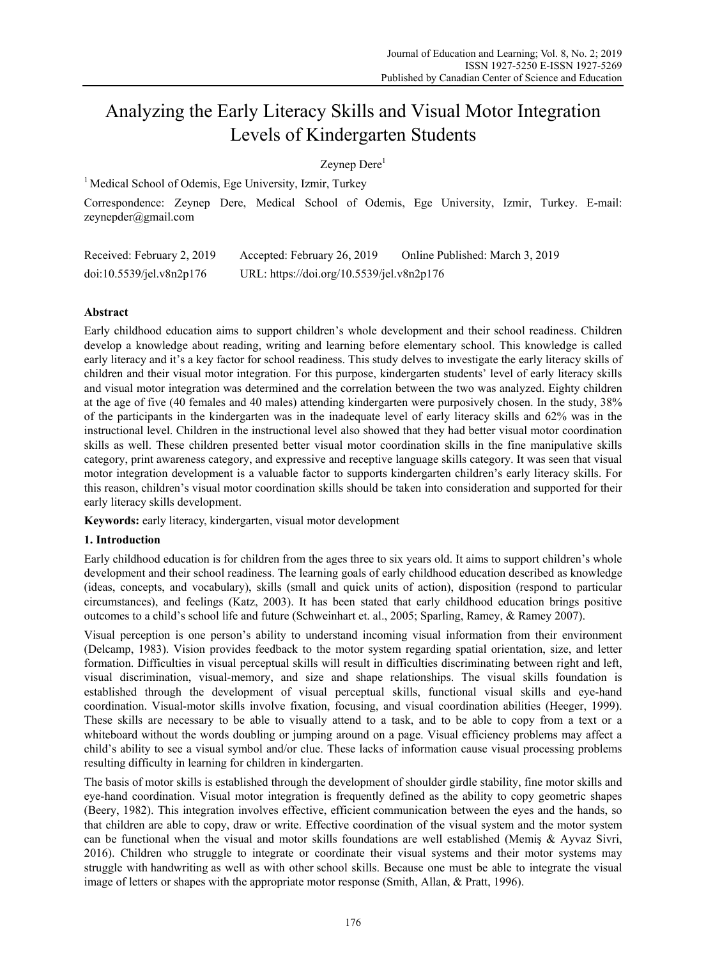# Analyzing the Early Literacy Skills and Visual Motor Integration Levels of Kindergarten Students

## Zeynep Dere<sup>1</sup>

<sup>1</sup> Medical School of Odemis, Ege University, Izmir, Turkey

Correspondence: Zeynep Dere, Medical School of Odemis, Ege University, Izmir, Turkey. E-mail: zeynepder@gmail.com

| Received: February 2, 2019 | Accepted: February 26, 2019               | Online Published: March 3, 2019 |
|----------------------------|-------------------------------------------|---------------------------------|
| doi:10.5539/jel.v8n2p176   | URL: https://doi.org/10.5539/jel.v8n2p176 |                                 |

## **Abstract**

Early childhood education aims to support children's whole development and their school readiness. Children develop a knowledge about reading, writing and learning before elementary school. This knowledge is called early literacy and it's a key factor for school readiness. This study delves to investigate the early literacy skills of children and their visual motor integration. For this purpose, kindergarten students' level of early literacy skills and visual motor integration was determined and the correlation between the two was analyzed. Eighty children at the age of five (40 females and 40 males) attending kindergarten were purposively chosen. In the study, 38% of the participants in the kindergarten was in the inadequate level of early literacy skills and 62% was in the instructional level. Children in the instructional level also showed that they had better visual motor coordination skills as well. These children presented better visual motor coordination skills in the fine manipulative skills category, print awareness category, and expressive and receptive language skills category. It was seen that visual motor integration development is a valuable factor to supports kindergarten children's early literacy skills. For this reason, children's visual motor coordination skills should be taken into consideration and supported for their early literacy skills development.

**Keywords:** early literacy, kindergarten, visual motor development

#### **1. Introduction**

Early childhood education is for children from the ages three to six years old. It aims to support children's whole development and their school readiness. The learning goals of early childhood education described as knowledge (ideas, concepts, and vocabulary), skills (small and quick units of action), disposition (respond to particular circumstances), and feelings (Katz, 2003). It has been stated that early childhood education brings positive outcomes to a child's school life and future (Schweinhart et. al., 2005; Sparling, Ramey, & Ramey 2007).

Visual perception is one person's ability to understand incoming visual information from their environment (Delcamp, 1983). Vision provides feedback to the motor system regarding spatial orientation, size, and letter formation. Difficulties in visual perceptual skills will result in difficulties discriminating between right and left, visual discrimination, visual-memory, and size and shape relationships. The visual skills foundation is established through the development of visual perceptual skills, functional visual skills and eye-hand coordination. Visual-motor skills involve fixation, focusing, and visual coordination abilities (Heeger, 1999). These skills are necessary to be able to visually attend to a task, and to be able to copy from a text or a whiteboard without the words doubling or jumping around on a page. Visual efficiency problems may affect a child's ability to see a visual symbol and/or clue. These lacks of information cause visual processing problems resulting difficulty in learning for children in kindergarten.

The basis of motor skills is established through the development of shoulder girdle stability, fine motor skills and eye-hand coordination. Visual motor integration is frequently defined as the ability to copy geometric shapes (Beery, 1982). This integration involves effective, efficient communication between the eyes and the hands, so that children are able to copy, draw or write. Effective coordination of the visual system and the motor system can be functional when the visual and motor skills foundations are well established (Memiş & Ayvaz Sivri, 2016). Children who struggle to integrate or coordinate their visual systems and their motor systems may struggle with handwriting as well as with other school skills. Because one must be able to integrate the visual image of letters or shapes with the appropriate motor response (Smith, Allan, & Pratt, 1996).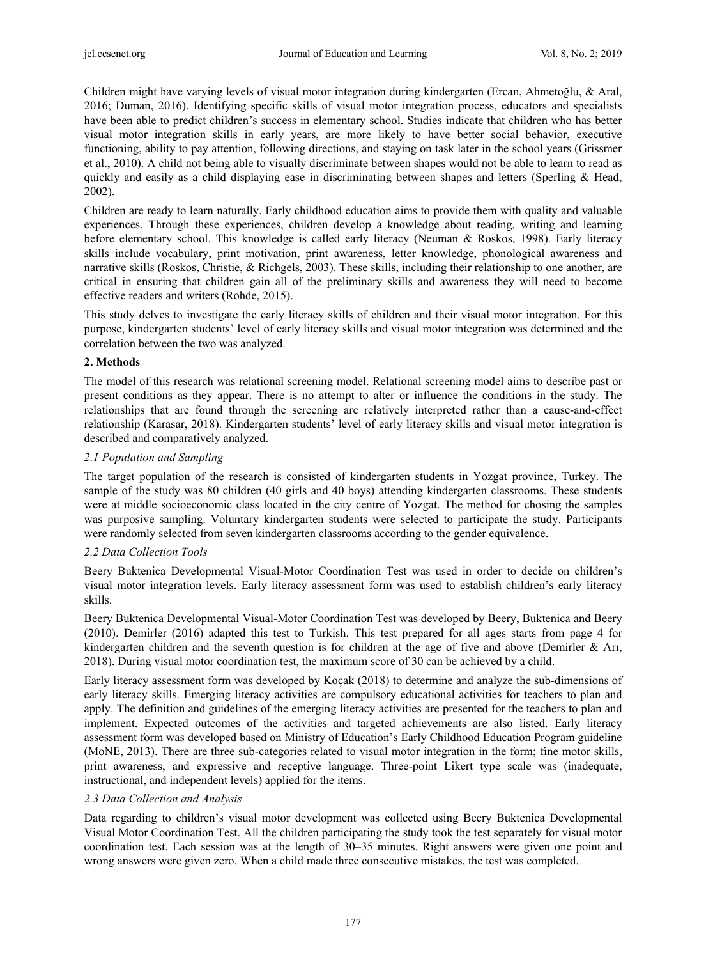Children might have varying levels of visual motor integration during kindergarten (Ercan, Ahmetoğlu, & Aral, 2016; Duman, 2016). Identifying specific skills of visual motor integration process, educators and specialists have been able to predict children's success in elementary school. Studies indicate that children who has better visual motor integration skills in early years, are more likely to have better social behavior, executive functioning, ability to pay attention, following directions, and staying on task later in the school years (Grissmer et al., 2010). A child not being able to visually discriminate between shapes would not be able to learn to read as quickly and easily as a child displaying ease in discriminating between shapes and letters (Sperling & Head, 2002).

Children are ready to learn naturally. Early childhood education aims to provide them with quality and valuable experiences. Through these experiences, children develop a knowledge about reading, writing and learning before elementary school. This knowledge is called early literacy (Neuman & Roskos, 1998). Early literacy skills include vocabulary, print motivation, print awareness, letter knowledge, phonological awareness and narrative skills (Roskos, Christie, & Richgels, 2003). These skills, including their relationship to one another, are critical in ensuring that children gain all of the preliminary skills and awareness they will need to become effective readers and writers (Rohde, 2015).

This study delves to investigate the early literacy skills of children and their visual motor integration. For this purpose, kindergarten students' level of early literacy skills and visual motor integration was determined and the correlation between the two was analyzed.

## **2. Methods**

The model of this research was relational screening model. Relational screening model aims to describe past or present conditions as they appear. There is no attempt to alter or influence the conditions in the study. The relationships that are found through the screening are relatively interpreted rather than a cause-and-effect relationship (Karasar, 2018). Kindergarten students' level of early literacy skills and visual motor integration is described and comparatively analyzed.

## *2.1 Population and Sampling*

The target population of the research is consisted of kindergarten students in Yozgat province, Turkey. The sample of the study was 80 children (40 girls and 40 boys) attending kindergarten classrooms. These students were at middle socioeconomic class located in the city centre of Yozgat. The method for chosing the samples was purposive sampling. Voluntary kindergarten students were selected to participate the study. Participants were randomly selected from seven kindergarten classrooms according to the gender equivalence.

#### *2.2 Data Collection Tools*

Beery Buktenica Developmental Visual-Motor Coordination Test was used in order to decide on children's visual motor integration levels. Early literacy assessment form was used to establish children's early literacy skills.

Beery Buktenica Developmental Visual-Motor Coordination Test was developed by Beery, Buktenica and Beery (2010). Demirler (2016) adapted this test to Turkish. This test prepared for all ages starts from page 4 for kindergarten children and the seventh question is for children at the age of five and above (Demirler & Arı, 2018). During visual motor coordination test, the maximum score of 30 can be achieved by a child.

Early literacy assessment form was developed by Koçak (2018) to determine and analyze the sub-dimensions of early literacy skills. Emerging literacy activities are compulsory educational activities for teachers to plan and apply. The definition and guidelines of the emerging literacy activities are presented for the teachers to plan and implement. Expected outcomes of the activities and targeted achievements are also listed. Early literacy assessment form was developed based on Ministry of Education's Early Childhood Education Program guideline (MoNE, 2013). There are three sub-categories related to visual motor integration in the form; fine motor skills, print awareness, and expressive and receptive language. Three-point Likert type scale was (inadequate, instructional, and independent levels) applied for the items.

## *2.3 Data Collection and Analysis*

Data regarding to children's visual motor development was collected using Beery Buktenica Developmental Visual Motor Coordination Test. All the children participating the study took the test separately for visual motor coordination test. Each session was at the length of 30–35 minutes. Right answers were given one point and wrong answers were given zero. When a child made three consecutive mistakes, the test was completed.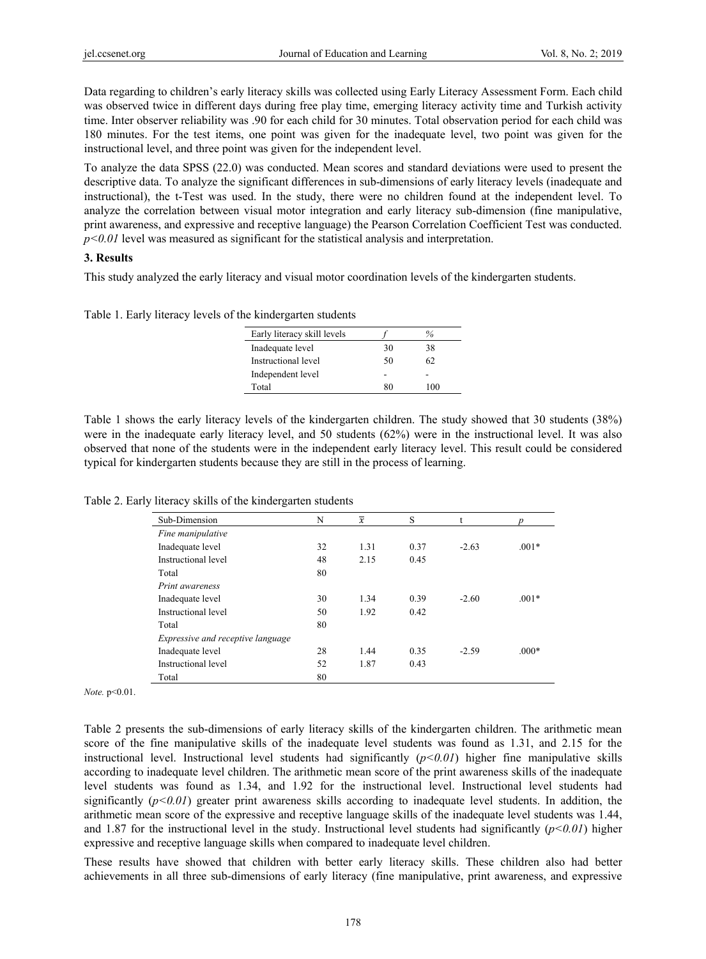Data regarding to children's early literacy skills was collected using Early Literacy Assessment Form. Each child was observed twice in different days during free play time, emerging literacy activity time and Turkish activity time. Inter observer reliability was .90 for each child for 30 minutes. Total observation period for each child was 180 minutes. For the test items, one point was given for the inadequate level, two point was given for the instructional level, and three point was given for the independent level.

To analyze the data SPSS (22.0) was conducted. Mean scores and standard deviations were used to present the descriptive data. To analyze the significant differences in sub-dimensions of early literacy levels (inadequate and instructional), the t-Test was used. In the study, there were no children found at the independent level. To analyze the correlation between visual motor integration and early literacy sub-dimension (fine manipulative, print awareness, and expressive and receptive language) the Pearson Correlation Coefficient Test was conducted.  $p<0.01$  level was measured as significant for the statistical analysis and interpretation.

#### **3. Results**

This study analyzed the early literacy and visual motor coordination levels of the kindergarten students.

Table 1. Early literacy levels of the kindergarten students

| Early literacy skill levels |    | $\%$              |
|-----------------------------|----|-------------------|
| Inadequate level            | 30 | 38                |
| Instructional level         | 50 | 62                |
| Independent level           |    |                   |
| Total                       | 80 | $^{\prime\prime}$ |

Table 1 shows the early literacy levels of the kindergarten children. The study showed that 30 students (38%) were in the inadequate early literacy level, and 50 students (62%) were in the instructional level. It was also observed that none of the students were in the independent early literacy level. This result could be considered typical for kindergarten students because they are still in the process of learning.

Table 2. Early literacy skills of the kindergarten students

| Sub-Dimension                     | N  | $\overline{x}$ | S    | t       |         |
|-----------------------------------|----|----------------|------|---------|---------|
| Fine manipulative                 |    |                |      |         |         |
| Inadequate level                  | 32 | 1.31           | 0.37 | $-2.63$ | $.001*$ |
| Instructional level               | 48 | 2.15           | 0.45 |         |         |
| Total                             | 80 |                |      |         |         |
| <i>Print awareness</i>            |    |                |      |         |         |
| Inadequate level                  | 30 | 1.34           | 0.39 | $-2.60$ | $.001*$ |
| Instructional level               | 50 | 1.92           | 0.42 |         |         |
| Total                             | 80 |                |      |         |         |
| Expressive and receptive language |    |                |      |         |         |
| Inadequate level                  | 28 | 1.44           | 0.35 | $-2.59$ | $.000*$ |
| Instructional level               | 52 | 1.87           | 0.43 |         |         |
| Total                             | 80 |                |      |         |         |

*Note.* p<0.01.

Table 2 presents the sub-dimensions of early literacy skills of the kindergarten children. The arithmetic mean score of the fine manipulative skills of the inadequate level students was found as 1.31, and 2.15 for the instructional level. Instructional level students had significantly  $(p<0.01)$  higher fine manipulative skills according to inadequate level children. The arithmetic mean score of the print awareness skills of the inadequate level students was found as 1.34, and 1.92 for the instructional level. Instructional level students had significantly  $(p<0.01)$  greater print awareness skills according to inadequate level students. In addition, the arithmetic mean score of the expressive and receptive language skills of the inadequate level students was 1.44, and 1.87 for the instructional level in the study. Instructional level students had significantly  $(p<0.01)$  higher expressive and receptive language skills when compared to inadequate level children.

These results have showed that children with better early literacy skills. These children also had better achievements in all three sub-dimensions of early literacy (fine manipulative, print awareness, and expressive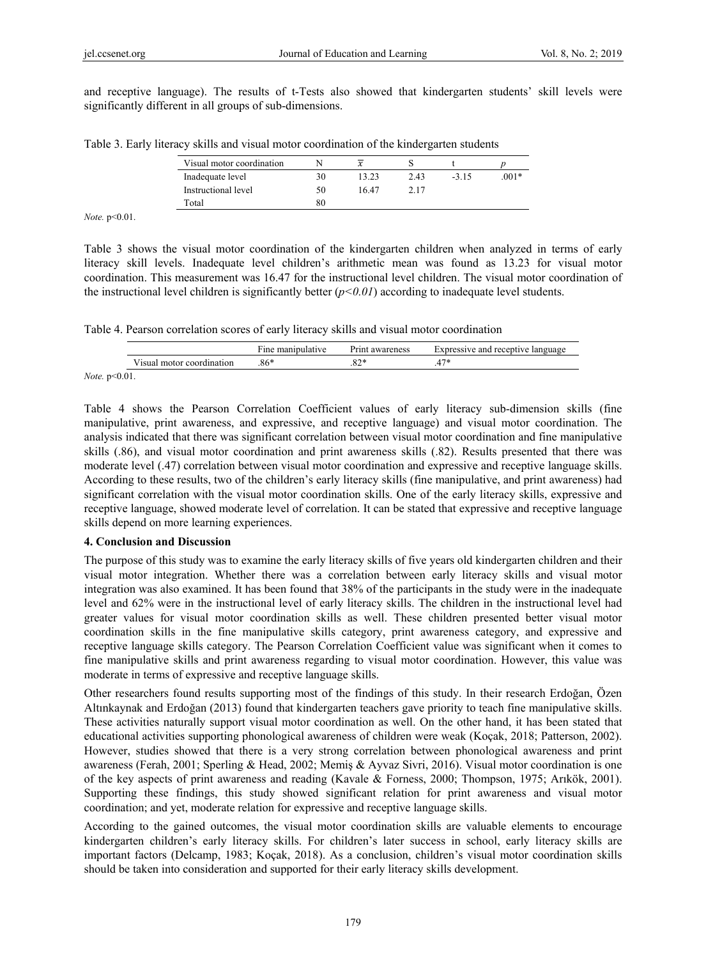and receptive language). The results of t-Tests also showed that kindergarten students' skill levels were significantly different in all groups of sub-dimensions.

|  |  | Table 3. Early literacy skills and visual motor coordination of the kindergarten students |  |  |
|--|--|-------------------------------------------------------------------------------------------|--|--|
|  |  |                                                                                           |  |  |

| Visual motor coordination |    | x     |      |        |         |
|---------------------------|----|-------|------|--------|---------|
| Inadequate level          | 30 | 13.23 | 2.43 | $-315$ | $.001*$ |
| Instructional level       | 50 | 16.47 | 2.17 |        |         |
| Total                     |    |       |      |        |         |

*Note.* p<0.01.

Table 3 shows the visual motor coordination of the kindergarten children when analyzed in terms of early literacy skill levels. Inadequate level children's arithmetic mean was found as 13.23 for visual motor coordination. This measurement was 16.47 for the instructional level children. The visual motor coordination of the instructional level children is significantly better (*p<0.01*) according to inadequate level students.

Table 4. Pearson correlation scores of early literacy skills and visual motor coordination

|                                                                       |                           | Fine manipulative | Print awareness | Expressive and receptive language |
|-----------------------------------------------------------------------|---------------------------|-------------------|-----------------|-----------------------------------|
|                                                                       | Visual motor coordination | $.86*$            |                 |                                   |
| $\lambda^{T}$ $\rightarrow$ $\lambda^{T}$ $\rightarrow$ $\lambda^{T}$ |                           |                   |                 |                                   |

*Note.* p<0.01.

Table 4 shows the Pearson Correlation Coefficient values of early literacy sub-dimension skills (fine manipulative, print awareness, and expressive, and receptive language) and visual motor coordination. The analysis indicated that there was significant correlation between visual motor coordination and fine manipulative skills (.86), and visual motor coordination and print awareness skills (.82). Results presented that there was moderate level (.47) correlation between visual motor coordination and expressive and receptive language skills. According to these results, two of the children's early literacy skills (fine manipulative, and print awareness) had significant correlation with the visual motor coordination skills. One of the early literacy skills, expressive and receptive language, showed moderate level of correlation. It can be stated that expressive and receptive language skills depend on more learning experiences.

## **4. Conclusion and Discussion**

The purpose of this study was to examine the early literacy skills of five years old kindergarten children and their visual motor integration. Whether there was a correlation between early literacy skills and visual motor integration was also examined. It has been found that 38% of the participants in the study were in the inadequate level and 62% were in the instructional level of early literacy skills. The children in the instructional level had greater values for visual motor coordination skills as well. These children presented better visual motor coordination skills in the fine manipulative skills category, print awareness category, and expressive and receptive language skills category. The Pearson Correlation Coefficient value was significant when it comes to fine manipulative skills and print awareness regarding to visual motor coordination. However, this value was moderate in terms of expressive and receptive language skills.

Other researchers found results supporting most of the findings of this study. In their research Erdoğan, Özen Altınkaynak and Erdoğan (2013) found that kindergarten teachers gave priority to teach fine manipulative skills. These activities naturally support visual motor coordination as well. On the other hand, it has been stated that educational activities supporting phonological awareness of children were weak (Koçak, 2018; Patterson, 2002). However, studies showed that there is a very strong correlation between phonological awareness and print awareness (Ferah, 2001; Sperling & Head, 2002; Memiş & Ayvaz Sivri, 2016). Visual motor coordination is one of the key aspects of print awareness and reading (Kavale & Forness, 2000; Thompson, 1975; Arıkök, 2001). Supporting these findings, this study showed significant relation for print awareness and visual motor coordination; and yet, moderate relation for expressive and receptive language skills.

According to the gained outcomes, the visual motor coordination skills are valuable elements to encourage kindergarten children's early literacy skills. For children's later success in school, early literacy skills are important factors (Delcamp, 1983; Koçak, 2018). As a conclusion, children's visual motor coordination skills should be taken into consideration and supported for their early literacy skills development.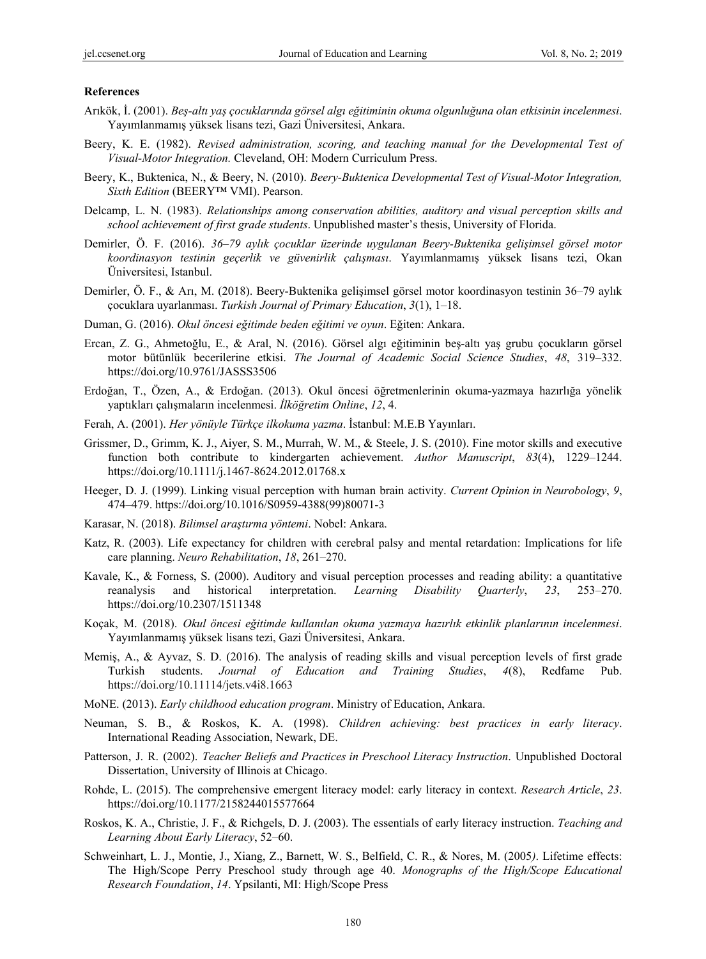#### **References**

- Arıkök, İ. (2001). *Beş-altı yaş çocuklarında görsel algı eğitiminin okuma olgunluğuna olan etkisinin incelenmesi*. Yayımlanmamış yüksek lisans tezi, Gazi Üniversitesi, Ankara.
- Beery, K. E. (1982). *Revised administration, scoring, and teaching manual for the Developmental Test of Visual-Motor Integration.* Cleveland, OH: Modern Curriculum Press.
- Beery, K., Buktenica, N., & Beery, N. (2010). *Beery-Buktenica Developmental Test of Visual-Motor Integration, Sixth Edition* (BEERY™ VMI). Pearson.
- Delcamp, L. N. (1983). *Relationships among conservation abilities, auditory and visual perception skills and school achievement of first grade students*. Unpublished master's thesis, University of Florida.
- Demirler, Ö. F. (2016). *36–79 aylık çocuklar üzerinde uygulanan Beery-Buktenika gelişimsel görsel motor koordinasyon testinin geçerlik ve güvenirlik çalışması*. Yayımlanmamış yüksek lisans tezi, Okan Üniversitesi, Istanbul.
- Demirler, Ö. F., & Arı, M. (2018). Beery-Buktenika gelişimsel görsel motor koordinasyon testinin 36–79 aylık çocuklara uyarlanması. *Turkish Journal of Primary Education*, *3*(1), 1–18.
- Duman, G. (2016). *Okul öncesi eğitimde beden eğitimi ve oyun*. Eğiten: Ankara.
- Ercan, Z. G., Ahmetoğlu, E., & Aral, N. (2016). Görsel algı eğitiminin beş-altı yaş grubu çocukların görsel motor bütünlük becerilerine etkisi. *The Journal of Academic Social Science Studies*, *48*, 319–332. https://doi.org/10.9761/JASSS3506
- Erdoğan, T., Özen, A., & Erdoğan. (2013). Okul öncesi öğretmenlerinin okuma-yazmaya hazırlığa yönelik yaptıkları çalışmaların incelenmesi. *İlköğretim Online*, *12*, 4.
- Ferah, A. (2001). *Her yönüyle Türkçe ilkokuma yazma*. İstanbul: M.E.B Yayınları.
- Grissmer, D., Grimm, K. J., Aiyer, S. M., Murrah, W. M., & Steele, J. S. (2010). Fine motor skills and executive function both contribute to kindergarten achievement. *Author Manuscript*, *83*(4), 1229–1244. https://doi.org/10.1111/j.1467-8624.2012.01768.x
- Heeger, D. J. (1999). Linking visual perception with human brain activity. *Current Opinion in Neurobology*, *9*, 474–479. https://doi.org/10.1016/S0959-4388(99)80071-3
- Karasar, N. (2018). *Bilimsel araştırma yöntemi*. Nobel: Ankara.
- Katz, R. (2003). Life expectancy for children with cerebral palsy and mental retardation: Implications for life care planning. *Neuro Rehabilitation*, *18*, 261–270.
- Kavale, K., & Forness, S. (2000). Auditory and visual perception processes and reading ability: a quantitative reanalysis and historical interpretation. *Learning Disability Quarterly*, *23*, 253–270. https://doi.org/10.2307/1511348
- Koçak, M. (2018). *Okul öncesi eğitimde kullanılan okuma yazmaya hazırlık etkinlik planlarının incelenmesi*. Yayımlanmamış yüksek lisans tezi, Gazi Üniversitesi, Ankara.
- Memiş, A., & Ayvaz, S. D. (2016). The analysis of reading skills and visual perception levels of first grade Turkish students. *Journal of Education and Training Studies*, *4*(8), Redfame Pub. https://doi.org/10.11114/jets.v4i8.1663
- MoNE. (2013). *Early childhood education program*. Ministry of Education, Ankara.
- Neuman, S. B., & Roskos, K. A. (1998). *Children achieving: best practices in early literacy*. International Reading Association, Newark, DE.
- Patterson, J. R. (2002). *Teacher Beliefs and Practices in Preschool Literacy Instruction*. Unpublished Doctoral Dissertation, University of Illinois at Chicago.
- Rohde, L. (2015). The comprehensive emergent literacy model: early literacy in context. *Research Article*, *23*. https://doi.org/10.1177/2158244015577664
- Roskos, K. A., Christie, J. F., & Richgels, D. J. (2003). The essentials of early literacy instruction. *Teaching and Learning About Early Literacy*, 52–60.
- Schweinhart, L. J., Montie, J., Xiang, Z., Barnett, W. S., Belfield, C. R., & Nores, M. (2005*)*. Lifetime effects: The High/Scope Perry Preschool study through age 40. *Monographs of the High/Scope Educational Research Foundation*, *14*. Ypsilanti, MI: High/Scope Press